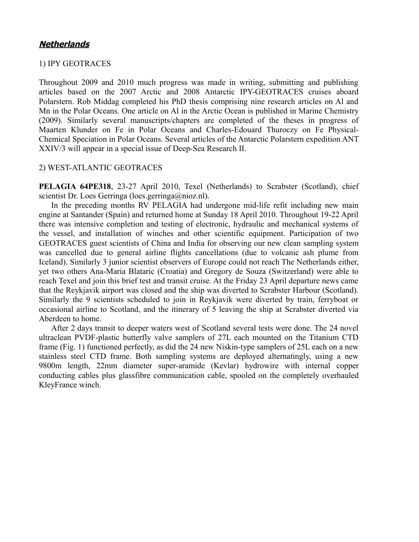## **Netherlands**

## 1) IPY GEOTRACES

Throughout 2009 and 2010 much progress was made in writing, submitting and publishing articles based on the 2007 Arctic and 2008 Antarctic IPY-GEOTRACES cruises aboard Polarstern. Rob Middag completed his PhD thesis comprising nine research articles on Al and Mn in the Polar Oceans. One article on Al in the Arctic Ocean is published in Marine Chemistry (2009). Similarly several manuscripts/chapters are completed of the theses in progress of Maarten Klunder on Fe in Polar Oceans and Charles-Edouard Thuroczy on Fe Physical-Chemical Speciation in Polar Oceans. Several articles of the Antarctic Polarstern expedition ANT XXIV/3 will appear in a special issue of Deep-Sea Research II.

## 2) WEST-ATLANTIC GEOTRACES

**PELAGIA 64PE318**, 23-27 April 2010, Texel (Netherlands) to Scrabster (Scotland), chief scientist Dr. Loes Gerringa (loes.gerringa@nioz.nl).

In the preceding months RV PELAGIA had undergone mid-life refit including new main engine at Santander (Spain) and returned home at Sunday 18 April 2010. Throughout 19-22 April there was intensive completion and testing of electronic, hydraulic and mechanical systems of the vessel, and installation of winches and other scientific equipment. Participation of two GEOTRACES guest scientists of China and India for observing our new clean sampling system was cancelled due to general airline flights cancellations (due to volcanic ash plume from Iceland). Similarly 3 junior scientist observers of Europe could not reach The Netherlands either, yet two others Ana-Maria Blataric (Croatia) and Gregory de Souza (Switzerland) were able to reach Texel and join this brief test and transit cruise. At the Friday 23 April departure news came that the Reykjavik airport was closed and the ship was diverted to Scrabster Harbour (Scotland). Similarly the 9 scientists scheduled to join in Reykjavik were diverted by train, ferryboat or occasional airline to Scotland, and the itinerary of 5 leaving the ship at Scrabster diverted via Aberdeen to home.

After 2 days transit to deeper waters west of Scotland several tests were done. The 24 novel ultraclean PVDF-plastic butterfly valve samplers of 27L each mounted on the Titanium CTD frame (Fig. 1) functioned perfectly, as did the 24 new Niskin-type samplers of 25L each on a new stainless steel CTD frame. Both sampling systems are deployed alternatingly, using a new 9800m length, 22mm diameter super-aramide (Kevlar) hydrowire with internal copper conducting cables plus glassfibre communication cable, spooled on the completely overhauled KleyFrance winch.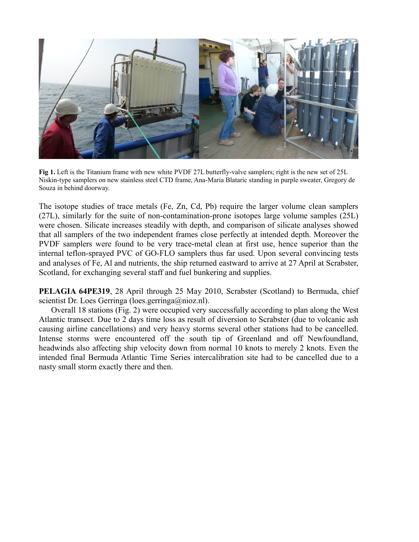

**Fig 1.** Left is the Titanium frame with new white PVDF 27L butterfly-valve samplers; right is the new set of 25L Niskin-type samplers on new stainless steel CTD frame, Ana-Maria Blataric standing in purple sweater, Gregory de Souza in behind doorway.

The isotope studies of trace metals (Fe, Zn, Cd, Pb) require the larger volume clean samplers (27L), similarly for the suite of non-contamination-prone isotopes large volume samples (25L) were chosen. Silicate increases steadily with depth, and comparison of silicate analyses showed that all samplers of the two independent frames close perfectly at intended depth. Moreover the PVDF samplers were found to be very trace-metal clean at first use, hence superior than the internal teflon-sprayed PVC of GO-FLO samplers thus far used. Upon several convincing tests and analyses of Fe, Al and nutrients, the ship returned eastward to arrive at 27 April at Scrabster, Scotland, for exchanging several staff and fuel bunkering and supplies.

**PELAGIA 64PE319, 28 April through 25 May 2010, Scrabster (Scotland) to Bermuda, chief** scientist Dr. Loes Gerringa (loes.gerringa@nioz.nl).

Overall 18 stations (Fig. 2) were occupied very successfully according to plan along the West Atlantic transect. Due to 2 days time loss as result of diversion to Scrabster (due to volcanic ash causing airline cancellations) and very heavy storms several other stations had to be cancelled. Intense storms were encountered off the south tip of Greenland and off Newfoundland, headwinds also affecting ship velocity down from normal 10 knots to merely 2 knots. Even the intended final Bermuda Atlantic Time Series intercalibration site had to be cancelled due to a nasty small storm exactly there and then.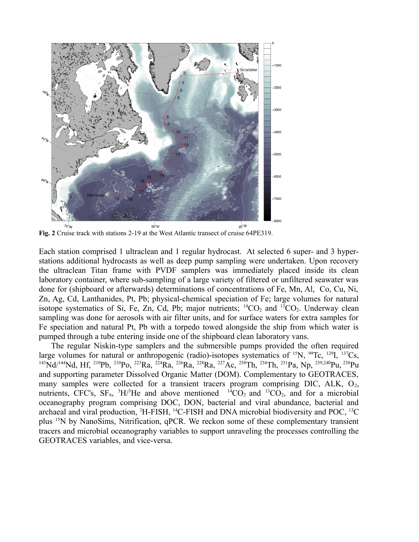

**Fig. 2** Cruise track with stations 2-19 at the West Atlantic transect of cruise 64PE319.

Each station comprised 1 ultraclean and 1 regular hydrocast. At selected 6 super- and 3 hyperstations additional hydrocasts as well as deep pump sampling were undertaken. Upon recovery the ultraclean Titan frame with PVDF samplers was immediately placed inside its clean laboratory container, where sub-sampling of a large variety of filtered or unfiltered seawater was done for (shipboard or afterwards) determinations of concentrations of Fe, Mn, Al, Co, Cu, Ni, Zn, Ag, Cd, Lanthanides, Pt, Pb; physical-chemical speciation of Fe; large volumes for natural isotope systematics of Si, Fe, Zn, Cd, Pb; major nutrients;  ${}^{14}CO_2$  and  ${}^{13}CO_2$ . Underway clean sampling was done for aerosols with air filter units, and for surface waters for extra samples for Fe speciation and natural Pt, Pb with a torpedo towed alongside the ship from which water is pumped through a tube entering inside one of the shipboard clean laboratory vans.

The regular Niskin-type samplers and the submersible pumps provided the often required large volumes for natural or anthropogenic (radio)-isotopes systematics of  $^{15}N$ ,  $^{99}Tc$ ,  $^{129}I$ ,  $^{137}Cs$ , <sup>143</sup>Nd/<sup>144</sup>Nd, Hf, <sup>210</sup>Pb, <sup>210</sup>Po, <sup>223</sup>Ra, <sup>224</sup>Ra, <sup>226</sup>Ra, <sup>228</sup>Ra, <sup>227</sup>Ac, <sup>230</sup>Th, <sup>234</sup>Th, <sup>231</sup>Pa, Np, 239,240Pu,<sup>238</sup>Pu and supporting parameter Dissolved Organic Matter (DOM). Complementary to GEOTRACES, many samples were collected for a transient tracers program comprising DIC, ALK,  $O_2$ , nutrients, CFC's,  $SF_6$ ,  ${}^{3}H/{}^{3}He$  and above mentioned  ${}^{14}CO_2$  and  ${}^{13}CO_2$ , and for a microbial oceanography program comprising DOC, DON, bacterial and viral abundance, bacterial and archaeal and viral production,  ${}^{3}$ H-FISH,  ${}^{14}$ C-FISH and DNA microbial biodiversity and POC,  ${}^{13}$ C plus <sup>15</sup>N by NanoSims, Nitrification, qPCR. We reckon some of these complementary transient tracers and microbial oceanography variables to support unraveling the processes controlling the GEOTRACES variables, and vice-versa.